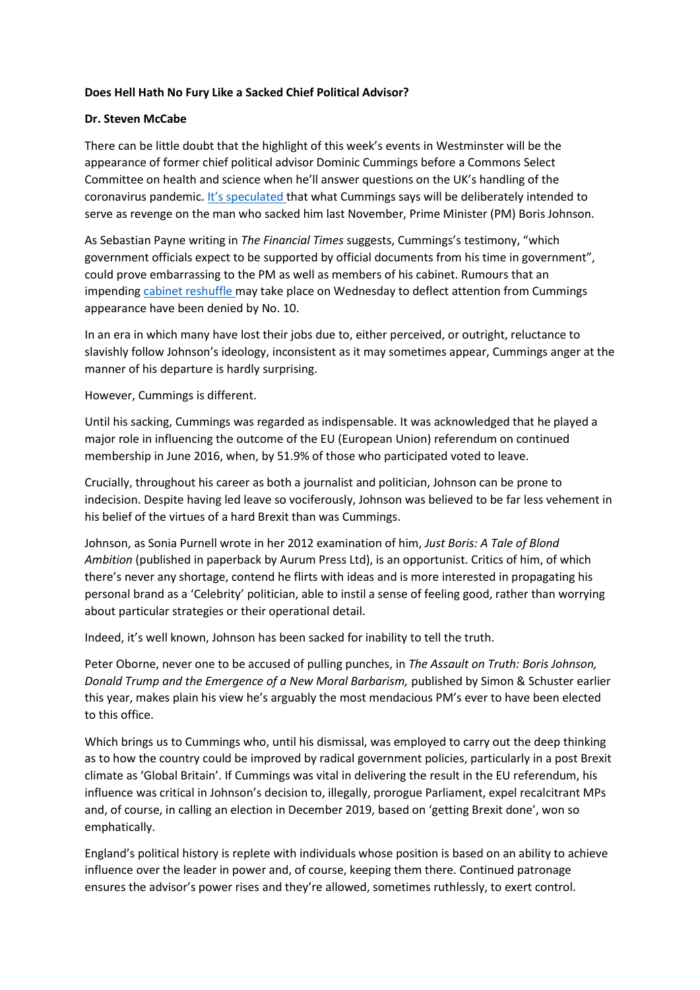## **Does Hell Hath No Fury Like a Sacked Chief Political Advisor?**

## **Dr. Steven McCabe**

There can be little doubt that the highlight of this week's events in Westminster will be the appearance of former chief political advisor Dominic Cummings before a Commons Select Committee on health and science when he'll answer questions on the UK's handling of the coronavirus pandemic. [It's speculated](https://www.telegraph.co.uk/politics/2021/05/23/dominic-cummings-hits-disastrously-misconceived-initial-covid/) that what Cummings says will be deliberately intended to serve as revenge on the man who sacked him last November, Prime Minister (PM) Boris Johnson.

As Sebastian Payne writing in *The Financial Times* suggests, Cummings's testimony, "which government officials expect to be supported by official documents from his time in government", could prove embarrassing to the PM as well as members of his cabinet. Rumours that an impending [cabinet reshuffle](https://www.huffingtonpost.co.uk/entry/cabinet-reshuffle-johnson-gove-williamson_uk_60a7d5abe4b0d56a83e94792) may take place on Wednesday to deflect attention from Cummings appearance have been denied by No. 10.

In an era in which many have lost their jobs due to, either perceived, or outright, reluctance to slavishly follow Johnson's ideology, inconsistent as it may sometimes appear, Cummings anger at the manner of his departure is hardly surprising.

However, Cummings is different.

Until his sacking, Cummings was regarded as indispensable. It was acknowledged that he played a major role in influencing the outcome of the EU (European Union) referendum on continued membership in June 2016, when, by 51.9% of those who participated voted to leave.

Crucially, throughout his career as both a journalist and politician, Johnson can be prone to indecision. Despite having led leave so vociferously, Johnson was believed to be far less vehement in his belief of the virtues of a hard Brexit than was Cummings.

Johnson, as Sonia Purnell wrote in her 2012 examination of him, *Just Boris: A Tale of Blond Ambition* (published in paperback by Aurum Press Ltd), is an opportunist. Critics of him, of which there's never any shortage, contend he flirts with ideas and is more interested in propagating his personal brand as a 'Celebrity' politician, able to instil a sense of feeling good, rather than worrying about particular strategies or their operational detail.

Indeed, it's well known, Johnson has been sacked for inability to tell the truth.

Peter Oborne, never one to be accused of pulling punches, in *The Assault on Truth: Boris Johnson, Donald Trump and the Emergence of a New Moral Barbarism,* published by Simon & Schuster earlier this year, makes plain his view he's arguably the most mendacious PM's ever to have been elected to this office.

Which brings us to Cummings who, until his dismissal, was employed to carry out the deep thinking as to how the country could be improved by radical government policies, particularly in a post Brexit climate as 'Global Britain'. If Cummings was vital in delivering the result in the EU referendum, his influence was critical in Johnson's decision to, illegally, prorogue Parliament, expel recalcitrant MPs and, of course, in calling an election in December 2019, based on 'getting Brexit done', won so emphatically.

England's political history is replete with individuals whose position is based on an ability to achieve influence over the leader in power and, of course, keeping them there. Continued patronage ensures the advisor's power rises and they're allowed, sometimes ruthlessly, to exert control.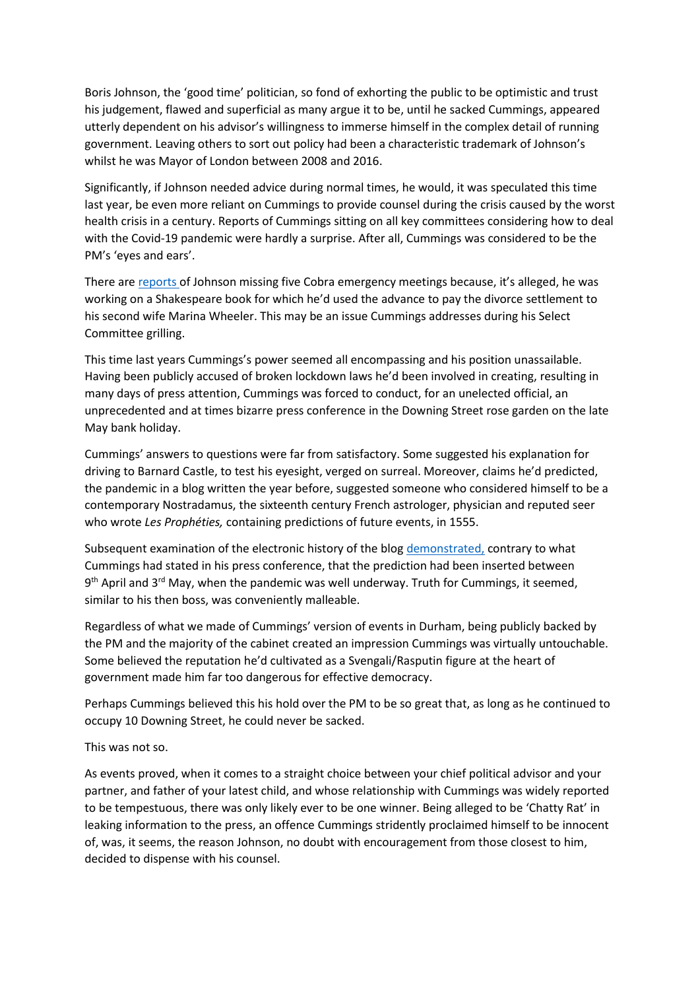Boris Johnson, the 'good time' politician, so fond of exhorting the public to be optimistic and trust his judgement, flawed and superficial as many argue it to be, until he sacked Cummings, appeared utterly dependent on his advisor's willingness to immerse himself in the complex detail of running government. Leaving others to sort out policy had been a characteristic trademark of Johnson's whilst he was Mayor of London between 2008 and 2016.

Significantly, if Johnson needed advice during normal times, he would, it was speculated this time last year, be even more reliant on Cummings to provide counsel during the crisis caused by the worst health crisis in a century. Reports of Cummings sitting on all key committees considering how to deal with the Covid-19 pandemic were hardly a surprise. After all, Cummings was considered to be the PM's 'eyes and ears'.

There are [reports](https://www.independent.co.uk/news/uk/politics/boris-johnson-dominic-cummings-shakespeare-b1852830.html) of Johnson missing five Cobra emergency meetings because, it's alleged, he was working on a Shakespeare book for which he'd used the advance to pay the divorce settlement to his second wife Marina Wheeler. This may be an issue Cummings addresses during his Select Committee grilling.

This time last years Cummings's power seemed all encompassing and his position unassailable. Having been publicly accused of broken lockdown laws he'd been involved in creating, resulting in many days of press attention, Cummings was forced to conduct, for an unelected official, an unprecedented and at times bizarre press conference in the Downing Street rose garden on the late May bank holiday.

Cummings' answers to questions were far from satisfactory. Some suggested his explanation for driving to Barnard Castle, to test his eyesight, verged on surreal. Moreover, claims he'd predicted, the pandemic in a blog written the year before, suggested someone who considered himself to be a contemporary Nostradamus, the sixteenth century French astrologer, physician and reputed seer who wrote *Les Prophéties,* containing predictions of future events, in 1555.

Subsequent examination of the electronic history of the blog [demonstrated,](https://www.bbc.co.uk/news/business-52808059) contrary to what Cummings had stated in his press conference, that the prediction had been inserted between 9<sup>th</sup> April and 3<sup>rd</sup> May, when the pandemic was well underway. Truth for Cummings, it seemed, similar to his then boss, was conveniently malleable.

Regardless of what we made of Cummings' version of events in Durham, being publicly backed by the PM and the majority of the cabinet created an impression Cummings was virtually untouchable. Some believed the reputation he'd cultivated as a Svengali/Rasputin figure at the heart of government made him far too dangerous for effective democracy.

Perhaps Cummings believed this his hold over the PM to be so great that, as long as he continued to occupy 10 Downing Street, he could never be sacked.

This was not so.

As events proved, when it comes to a straight choice between your chief political advisor and your partner, and father of your latest child, and whose relationship with Cummings was widely reported to be tempestuous, there was only likely ever to be one winner. Being alleged to be 'Chatty Rat' in leaking information to the press, an offence Cummings stridently proclaimed himself to be innocent of, was, it seems, the reason Johnson, no doubt with encouragement from those closest to him, decided to dispense with his counsel.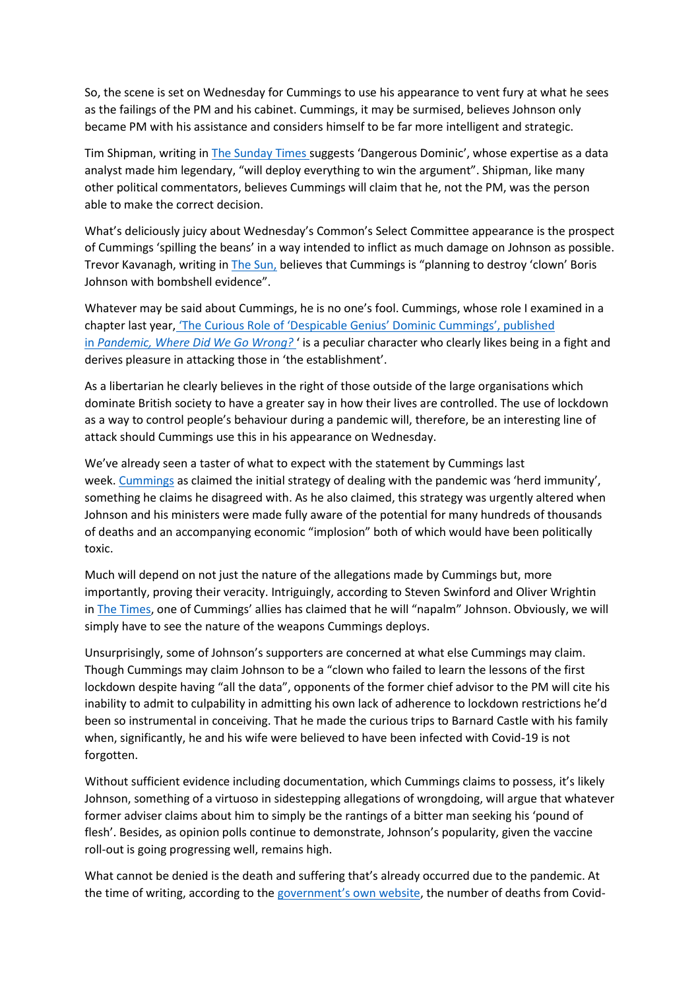So, the scene is set on Wednesday for Cummings to use his appearance to vent fury at what he sees as the failings of the PM and his cabinet. Cummings, it may be surmised, believes Johnson only became PM with his assistance and considers himself to be far more intelligent and strategic.

Tim Shipman, writing in [The Sunday Times](https://www.thetimes.co.uk/article/dangerous-dominic-cummings-just-wants-to-be-proved-right-2gsgtpx7p) suggests 'Dangerous Dominic', whose expertise as a data analyst made him legendary, "will deploy everything to win the argument". Shipman, like many other political commentators, believes Cummings will claim that he, not the PM, was the person able to make the correct decision.

What's deliciously juicy about Wednesday's Common's Select Committee appearance is the prospect of Cummings 'spilling the beans' in a way intended to inflict as much damage on Johnson as possible. Trevor Kavanagh, writing in [The Sun,](https://www.thesun.co.uk/news/15046777/dominic-cummings-planning-to-destroy-clown-pm/) believes that Cummings is "planning to destroy 'clown' Boris Johnson with bombshell evidence".

Whatever may be said about Cummings, he is no one's fool. Cummings, whose role I examined in a chapter last year, ['The Curious Role of 'Despicable Genius' Dominic Cummings', published](https://bite-sizedbooks.com/product/pandemic-where-did-we-go-wrong/#:~:text=This%20book%20is%20an%20attempt,to%20panic%20and%20back%20again)  in *[Pandemic, Where Did We Go Wrong?](https://bite-sizedbooks.com/product/pandemic-where-did-we-go-wrong/#:~:text=This%20book%20is%20an%20attempt,to%20panic%20and%20back%20again)* ' is a peculiar character who clearly likes being in a fight and derives pleasure in attacking those in 'the establishment'.

As a libertarian he clearly believes in the right of those outside of the large organisations which dominate British society to have a greater say in how their lives are controlled. The use of lockdown as a way to control people's behaviour during a pandemic will, therefore, be an interesting line of attack should Cummings use this in his appearance on Wednesday.

We've already seen a taster of what to expect with the statement by Cummings last week. [Cummings](https://www.theguardian.com/world/2021/may/23/priti-patel-denies-cummings-claim-herd-immunity-was-ever-uk-policy) as claimed the initial strategy of dealing with the pandemic was 'herd immunity', something he claims he disagreed with. As he also claimed, this strategy was urgently altered when Johnson and his ministers were made fully aware of the potential for many hundreds of thousands of deaths and an accompanying economic "implosion" both of which would have been politically toxic.

Much will depend on not just the nature of the allegations made by Cummings but, more importantly, proving their veracity. Intriguingly, according to Steven Swinford and Oliver Wrightin in [The Times](https://www.thetimes.co.uk/article/dominic-cummings-ready-to-napalm-boris-johnson-over-covid-lockdown-delays-kr5wgdjqp), one of Cummings' allies has claimed that he will "napalm" Johnson. Obviously, we will simply have to see the nature of the weapons Cummings deploys.

Unsurprisingly, some of Johnson's supporters are concerned at what else Cummings may claim. Though Cummings may claim Johnson to be a "clown who failed to learn the lessons of the first lockdown despite having "all the data", opponents of the former chief advisor to the PM will cite his inability to admit to culpability in admitting his own lack of adherence to lockdown restrictions he'd been so instrumental in conceiving. That he made the curious trips to Barnard Castle with his family when, significantly, he and his wife were believed to have been infected with Covid-19 is not forgotten.

Without sufficient evidence including documentation, which Cummings claims to possess, it's likely Johnson, something of a virtuoso in sidestepping allegations of wrongdoing, will argue that whatever former adviser claims about him to simply be the rantings of a bitter man seeking his 'pound of flesh'. Besides, as opinion polls continue to demonstrate, Johnson's popularity, given the vaccine roll-out is going progressing well, remains high.

What cannot be denied is the death and suffering that's already occurred due to the pandemic. At the time of writing, according to the [government's own website](https://coronavirus.data.gov.uk/details/deaths,), the number of deaths from Covid